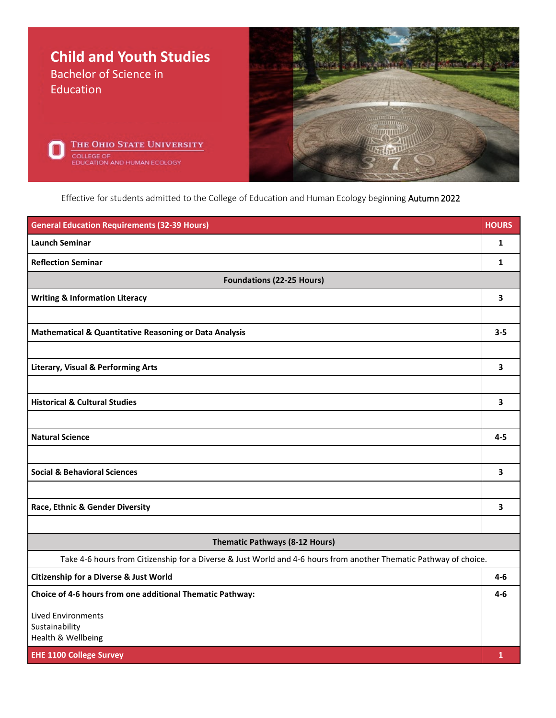

Effective for students admitted to the College of Education and Human Ecology beginning Autumn 2022

| <b>General Education Requirements (32-39 Hours)</b>                                                               | <b>HOURS</b> |
|-------------------------------------------------------------------------------------------------------------------|--------------|
| <b>Launch Seminar</b>                                                                                             | 1            |
| <b>Reflection Seminar</b>                                                                                         | $\mathbf{1}$ |
| <b>Foundations (22-25 Hours)</b>                                                                                  |              |
| <b>Writing &amp; Information Literacy</b>                                                                         | 3            |
|                                                                                                                   |              |
| Mathematical & Quantitative Reasoning or Data Analysis                                                            | $3 - 5$      |
|                                                                                                                   |              |
| <b>Literary, Visual &amp; Performing Arts</b>                                                                     | 3            |
|                                                                                                                   |              |
| <b>Historical &amp; Cultural Studies</b>                                                                          | 3            |
|                                                                                                                   |              |
| <b>Natural Science</b>                                                                                            | $4 - 5$      |
|                                                                                                                   |              |
| <b>Social &amp; Behavioral Sciences</b>                                                                           | 3            |
|                                                                                                                   |              |
| Race, Ethnic & Gender Diversity                                                                                   | 3            |
|                                                                                                                   |              |
| <b>Thematic Pathways (8-12 Hours)</b>                                                                             |              |
| Take 4-6 hours from Citizenship for a Diverse & Just World and 4-6 hours from another Thematic Pathway of choice. |              |
| <b>Citizenship for a Diverse &amp; Just World</b>                                                                 | 4-6          |
| Choice of 4-6 hours from one additional Thematic Pathway:                                                         | 4-6          |
| <b>Lived Environments</b>                                                                                         |              |
| Sustainability<br>Health & Wellbeing                                                                              |              |
| <b>EHE 1100 College Survey</b>                                                                                    | $\mathbf{1}$ |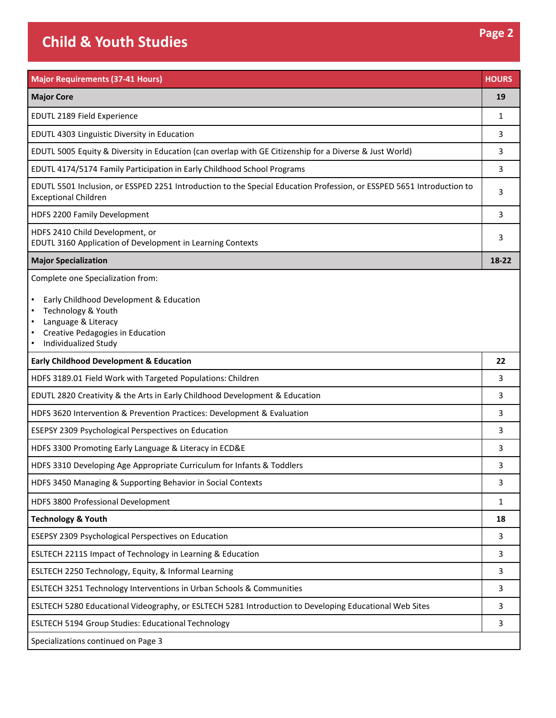## **Child & Youth Studies Page 2**

| <b>Major Requirements (37-41 Hours)</b>                                                                                                                                                            | <b>HOURS</b> |
|----------------------------------------------------------------------------------------------------------------------------------------------------------------------------------------------------|--------------|
| <b>Major Core</b>                                                                                                                                                                                  | 19           |
| EDUTL 2189 Field Experience                                                                                                                                                                        | 1            |
| EDUTL 4303 Linguistic Diversity in Education                                                                                                                                                       | 3            |
| EDUTL 5005 Equity & Diversity in Education (can overlap with GE Citizenship for a Diverse & Just World)                                                                                            | 3            |
| EDUTL 4174/5174 Family Participation in Early Childhood School Programs                                                                                                                            | 3            |
| EDUTL 5501 Inclusion, or ESSPED 2251 Introduction to the Special Education Profession, or ESSPED 5651 Introduction to<br><b>Exceptional Children</b>                                               | 3            |
| HDFS 2200 Family Development                                                                                                                                                                       | 3            |
| HDFS 2410 Child Development, or<br>EDUTL 3160 Application of Development in Learning Contexts                                                                                                      | 3            |
| <b>Major Specialization</b>                                                                                                                                                                        | 18-22        |
| Complete one Specialization from:<br>Early Childhood Development & Education<br>$\bullet$<br>Technology & Youth<br>Language & Literacy<br>Creative Pedagogies in Education<br>Individualized Study |              |
| <b>Early Childhood Development &amp; Education</b>                                                                                                                                                 | 22           |
| HDFS 3189.01 Field Work with Targeted Populations: Children                                                                                                                                        | 3            |
| EDUTL 2820 Creativity & the Arts in Early Childhood Development & Education                                                                                                                        | 3            |
| HDFS 3620 Intervention & Prevention Practices: Development & Evaluation                                                                                                                            | 3            |
| ESEPSY 2309 Psychological Perspectives on Education                                                                                                                                                | 3            |
| HDFS 3300 Promoting Early Language & Literacy in ECD&E                                                                                                                                             | 3            |
| HDFS 3310 Developing Age Appropriate Curriculum for Infants & Toddlers                                                                                                                             | 3            |
| HDFS 3450 Managing & Supporting Behavior in Social Contexts                                                                                                                                        | 3            |
| HDFS 3800 Professional Development                                                                                                                                                                 | 1            |
| <b>Technology &amp; Youth</b>                                                                                                                                                                      | 18           |
| ESEPSY 2309 Psychological Perspectives on Education                                                                                                                                                | 3            |
| ESLTECH 2211S Impact of Technology in Learning & Education                                                                                                                                         | 3            |
| ESLTECH 2250 Technology, Equity, & Informal Learning                                                                                                                                               | 3            |
| ESLTECH 3251 Technology Interventions in Urban Schools & Communities                                                                                                                               | 3            |
| ESLTECH 5280 Educational Videography, or ESLTECH 5281 Introduction to Developing Educational Web Sites                                                                                             | 3            |
| <b>ESLTECH 5194 Group Studies: Educational Technology</b>                                                                                                                                          | 3            |
| Specializations continued on Page 3                                                                                                                                                                |              |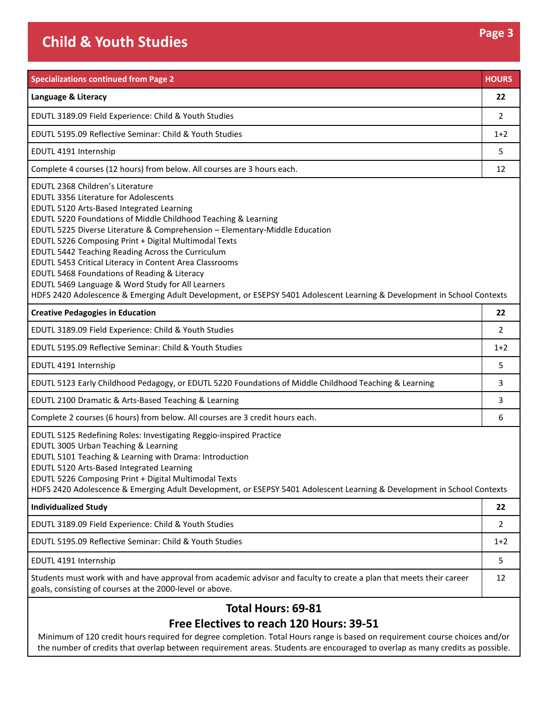## **Child & Youth Studies Page 3**

| <b>Specializations continued from Page 2</b>                                                                                                                                                                                                                                                                                                                                                                                                                                                                                                                                                                                                                                            | <b>HOURS</b> |
|-----------------------------------------------------------------------------------------------------------------------------------------------------------------------------------------------------------------------------------------------------------------------------------------------------------------------------------------------------------------------------------------------------------------------------------------------------------------------------------------------------------------------------------------------------------------------------------------------------------------------------------------------------------------------------------------|--------------|
| Language & Literacy                                                                                                                                                                                                                                                                                                                                                                                                                                                                                                                                                                                                                                                                     | 22           |
| EDUTL 3189.09 Field Experience: Child & Youth Studies                                                                                                                                                                                                                                                                                                                                                                                                                                                                                                                                                                                                                                   | 2            |
| EDUTL 5195.09 Reflective Seminar: Child & Youth Studies                                                                                                                                                                                                                                                                                                                                                                                                                                                                                                                                                                                                                                 | $1+2$        |
| EDUTL 4191 Internship                                                                                                                                                                                                                                                                                                                                                                                                                                                                                                                                                                                                                                                                   | 5            |
| Complete 4 courses (12 hours) from below. All courses are 3 hours each.                                                                                                                                                                                                                                                                                                                                                                                                                                                                                                                                                                                                                 | 12           |
| EDUTL 2368 Children's Literature<br><b>EDUTL 3356 Literature for Adolescents</b><br>EDUTL 5120 Arts-Based Integrated Learning<br>EDUTL 5220 Foundations of Middle Childhood Teaching & Learning<br>EDUTL 5225 Diverse Literature & Comprehension - Elementary-Middle Education<br>EDUTL 5226 Composing Print + Digital Multimodal Texts<br>EDUTL 5442 Teaching Reading Across the Curriculum<br>EDUTL 5453 Critical Literacy in Content Area Classrooms<br>EDUTL 5468 Foundations of Reading & Literacy<br>EDUTL 5469 Language & Word Study for All Learners<br>HDFS 2420 Adolescence & Emerging Adult Development, or ESEPSY 5401 Adolescent Learning & Development in School Contexts |              |
| <b>Creative Pedagogies in Education</b>                                                                                                                                                                                                                                                                                                                                                                                                                                                                                                                                                                                                                                                 | 22           |
| EDUTL 3189.09 Field Experience: Child & Youth Studies                                                                                                                                                                                                                                                                                                                                                                                                                                                                                                                                                                                                                                   | 2            |
| EDUTL 5195.09 Reflective Seminar: Child & Youth Studies                                                                                                                                                                                                                                                                                                                                                                                                                                                                                                                                                                                                                                 | $1+2$        |
| EDUTL 4191 Internship                                                                                                                                                                                                                                                                                                                                                                                                                                                                                                                                                                                                                                                                   | 5            |
| EDUTL 5123 Early Childhood Pedagogy, or EDUTL 5220 Foundations of Middle Childhood Teaching & Learning                                                                                                                                                                                                                                                                                                                                                                                                                                                                                                                                                                                  | 3            |
| EDUTL 2100 Dramatic & Arts-Based Teaching & Learning                                                                                                                                                                                                                                                                                                                                                                                                                                                                                                                                                                                                                                    | 3            |
| Complete 2 courses (6 hours) from below. All courses are 3 credit hours each.                                                                                                                                                                                                                                                                                                                                                                                                                                                                                                                                                                                                           | 6            |
| EDUTL 5125 Redefining Roles: Investigating Reggio-inspired Practice<br>EDUTL 3005 Urban Teaching & Learning<br>EDUTL 5101 Teaching & Learning with Drama: Introduction<br>EDUTL 5120 Arts-Based Integrated Learning<br>EDUTL 5226 Composing Print + Digital Multimodal Texts<br>HDFS 2420 Adolescence & Emerging Adult Development, or ESEPSY 5401 Adolescent Learning & Development in School Contexts                                                                                                                                                                                                                                                                                 |              |
| <b>Individualized Study</b>                                                                                                                                                                                                                                                                                                                                                                                                                                                                                                                                                                                                                                                             | 22           |
| EDUTL 3189.09 Field Experience: Child & Youth Studies                                                                                                                                                                                                                                                                                                                                                                                                                                                                                                                                                                                                                                   | 2            |
| EDUTL 5195.09 Reflective Seminar: Child & Youth Studies                                                                                                                                                                                                                                                                                                                                                                                                                                                                                                                                                                                                                                 | $1+2$        |
| EDUTL 4191 Internship                                                                                                                                                                                                                                                                                                                                                                                                                                                                                                                                                                                                                                                                   | 5            |
| Students must work with and have approval from academic advisor and faculty to create a plan that meets their career<br>goals, consisting of courses at the 2000-level or above.                                                                                                                                                                                                                                                                                                                                                                                                                                                                                                        | 12           |
| <b>Total Hours: 69-81</b><br>Free Electives to reach 120 Hours: 39-51                                                                                                                                                                                                                                                                                                                                                                                                                                                                                                                                                                                                                   |              |

Minimum of 120 credit hours required for degree completion. Total Hours range is based on requirement course choices and/or the number of credits that overlap between requirement areas. Students are encouraged to overlap as many credits as possible.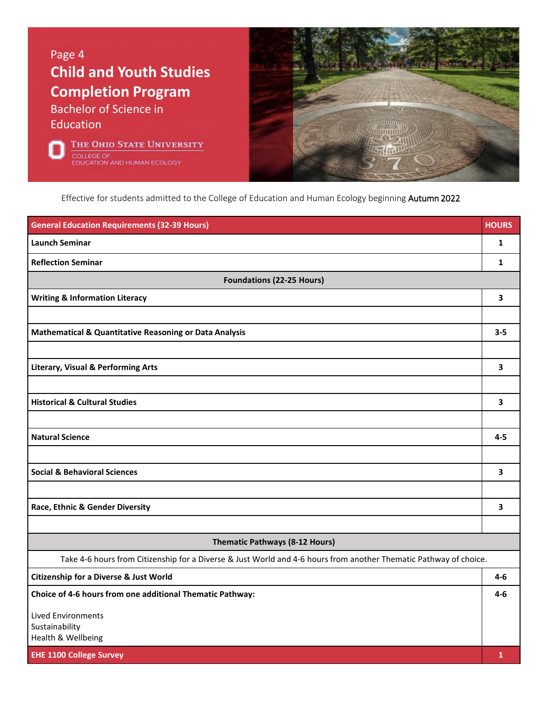Page 4 **Child and Youth Studies Completion Program** Bachelor of Science in Education

THE OHIO STATE UNIVERSITY COLLEGE OF **JCATION AND HUMAN ECOLOGY** 



Effective for students admitted to the College of Education and Human Ecology beginning Autumn 2022

| <b>General Education Requirements (32-39 Hours)</b>                                                               | <b>HOURS</b> |
|-------------------------------------------------------------------------------------------------------------------|--------------|
| <b>Launch Seminar</b>                                                                                             | 1            |
| <b>Reflection Seminar</b>                                                                                         | 1            |
| <b>Foundations (22-25 Hours)</b>                                                                                  |              |
| <b>Writing &amp; Information Literacy</b>                                                                         | 3            |
|                                                                                                                   |              |
| Mathematical & Quantitative Reasoning or Data Analysis                                                            | $3 - 5$      |
|                                                                                                                   |              |
| <b>Literary, Visual &amp; Performing Arts</b>                                                                     | 3            |
|                                                                                                                   |              |
| <b>Historical &amp; Cultural Studies</b>                                                                          | 3            |
|                                                                                                                   |              |
| <b>Natural Science</b>                                                                                            | $4 - 5$      |
|                                                                                                                   |              |
| <b>Social &amp; Behavioral Sciences</b>                                                                           | 3            |
|                                                                                                                   |              |
| Race, Ethnic & Gender Diversity                                                                                   | 3            |
|                                                                                                                   |              |
| <b>Thematic Pathways (8-12 Hours)</b>                                                                             |              |
| Take 4-6 hours from Citizenship for a Diverse & Just World and 4-6 hours from another Thematic Pathway of choice. |              |
| <b>Citizenship for a Diverse &amp; Just World</b>                                                                 | $4-6$        |
| Choice of 4-6 hours from one additional Thematic Pathway:                                                         | $4-6$        |
| <b>Lived Environments</b>                                                                                         |              |
| Sustainability<br>Health & Wellbeing                                                                              |              |
| <b>EHE 1100 College Survey</b>                                                                                    | $\mathbf{1}$ |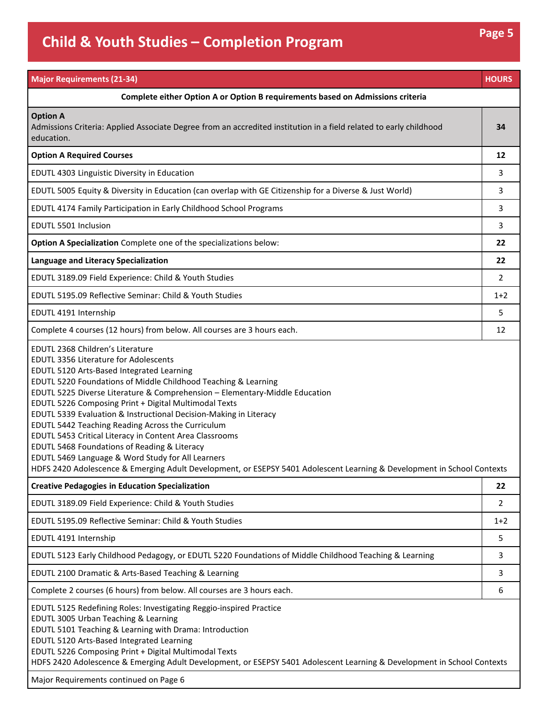| <b>Major Requirements (21-34)</b>                                                                                                                                                                                                                                                                                                                                                                                                                                                                                                                                                                                                                                                                                        | <b>HOURS</b> |
|--------------------------------------------------------------------------------------------------------------------------------------------------------------------------------------------------------------------------------------------------------------------------------------------------------------------------------------------------------------------------------------------------------------------------------------------------------------------------------------------------------------------------------------------------------------------------------------------------------------------------------------------------------------------------------------------------------------------------|--------------|
| Complete either Option A or Option B requirements based on Admissions criteria                                                                                                                                                                                                                                                                                                                                                                                                                                                                                                                                                                                                                                           |              |
| <b>Option A</b><br>Admissions Criteria: Applied Associate Degree from an accredited institution in a field related to early childhood<br>education.                                                                                                                                                                                                                                                                                                                                                                                                                                                                                                                                                                      | 34           |
| <b>Option A Required Courses</b>                                                                                                                                                                                                                                                                                                                                                                                                                                                                                                                                                                                                                                                                                         | 12           |
| EDUTL 4303 Linguistic Diversity in Education                                                                                                                                                                                                                                                                                                                                                                                                                                                                                                                                                                                                                                                                             | 3            |
| EDUTL 5005 Equity & Diversity in Education (can overlap with GE Citizenship for a Diverse & Just World)                                                                                                                                                                                                                                                                                                                                                                                                                                                                                                                                                                                                                  | 3            |
| EDUTL 4174 Family Participation in Early Childhood School Programs                                                                                                                                                                                                                                                                                                                                                                                                                                                                                                                                                                                                                                                       | 3            |
| EDUTL 5501 Inclusion                                                                                                                                                                                                                                                                                                                                                                                                                                                                                                                                                                                                                                                                                                     | 3            |
| Option A Specialization Complete one of the specializations below:                                                                                                                                                                                                                                                                                                                                                                                                                                                                                                                                                                                                                                                       | 22           |
| Language and Literacy Specialization                                                                                                                                                                                                                                                                                                                                                                                                                                                                                                                                                                                                                                                                                     | 22           |
| EDUTL 3189.09 Field Experience: Child & Youth Studies                                                                                                                                                                                                                                                                                                                                                                                                                                                                                                                                                                                                                                                                    | 2            |
| EDUTL 5195.09 Reflective Seminar: Child & Youth Studies                                                                                                                                                                                                                                                                                                                                                                                                                                                                                                                                                                                                                                                                  | $1+2$        |
| EDUTL 4191 Internship                                                                                                                                                                                                                                                                                                                                                                                                                                                                                                                                                                                                                                                                                                    | 5            |
| Complete 4 courses (12 hours) from below. All courses are 3 hours each.                                                                                                                                                                                                                                                                                                                                                                                                                                                                                                                                                                                                                                                  | 12           |
| <b>EDUTL 3356 Literature for Adolescents</b><br>EDUTL 5120 Arts-Based Integrated Learning<br>EDUTL 5220 Foundations of Middle Childhood Teaching & Learning<br>EDUTL 5225 Diverse Literature & Comprehension - Elementary-Middle Education<br>EDUTL 5226 Composing Print + Digital Multimodal Texts<br>EDUTL 5339 Evaluation & Instructional Decision-Making in Literacy<br>EDUTL 5442 Teaching Reading Across the Curriculum<br>EDUTL 5453 Critical Literacy in Content Area Classrooms<br>EDUTL 5468 Foundations of Reading & Literacy<br>EDUTL 5469 Language & Word Study for All Learners<br>HDFS 2420 Adolescence & Emerging Adult Development, or ESEPSY 5401 Adolescent Learning & Development in School Contexts |              |
| <b>Creative Pedagogies in Education Specialization</b>                                                                                                                                                                                                                                                                                                                                                                                                                                                                                                                                                                                                                                                                   | 22           |
| EDUTL 3189.09 Field Experience: Child & Youth Studies                                                                                                                                                                                                                                                                                                                                                                                                                                                                                                                                                                                                                                                                    | 2            |
| EDUTL 5195.09 Reflective Seminar: Child & Youth Studies                                                                                                                                                                                                                                                                                                                                                                                                                                                                                                                                                                                                                                                                  | $1+2$        |
| EDUTL 4191 Internship                                                                                                                                                                                                                                                                                                                                                                                                                                                                                                                                                                                                                                                                                                    | 5            |
| EDUTL 5123 Early Childhood Pedagogy, or EDUTL 5220 Foundations of Middle Childhood Teaching & Learning                                                                                                                                                                                                                                                                                                                                                                                                                                                                                                                                                                                                                   | 3            |
| EDUTL 2100 Dramatic & Arts-Based Teaching & Learning                                                                                                                                                                                                                                                                                                                                                                                                                                                                                                                                                                                                                                                                     | 3            |
| Complete 2 courses (6 hours) from below. All courses are 3 hours each.                                                                                                                                                                                                                                                                                                                                                                                                                                                                                                                                                                                                                                                   | 6            |
| EDUTL 5125 Redefining Roles: Investigating Reggio-inspired Practice<br>EDUTL 3005 Urban Teaching & Learning<br>EDUTL 5101 Teaching & Learning with Drama: Introduction<br>EDUTL 5120 Arts-Based Integrated Learning<br>EDUTL 5226 Composing Print + Digital Multimodal Texts<br>HDFS 2420 Adolescence & Emerging Adult Development, or ESEPSY 5401 Adolescent Learning & Development in School Contexts                                                                                                                                                                                                                                                                                                                  |              |

Major Requirements continued on Page 6